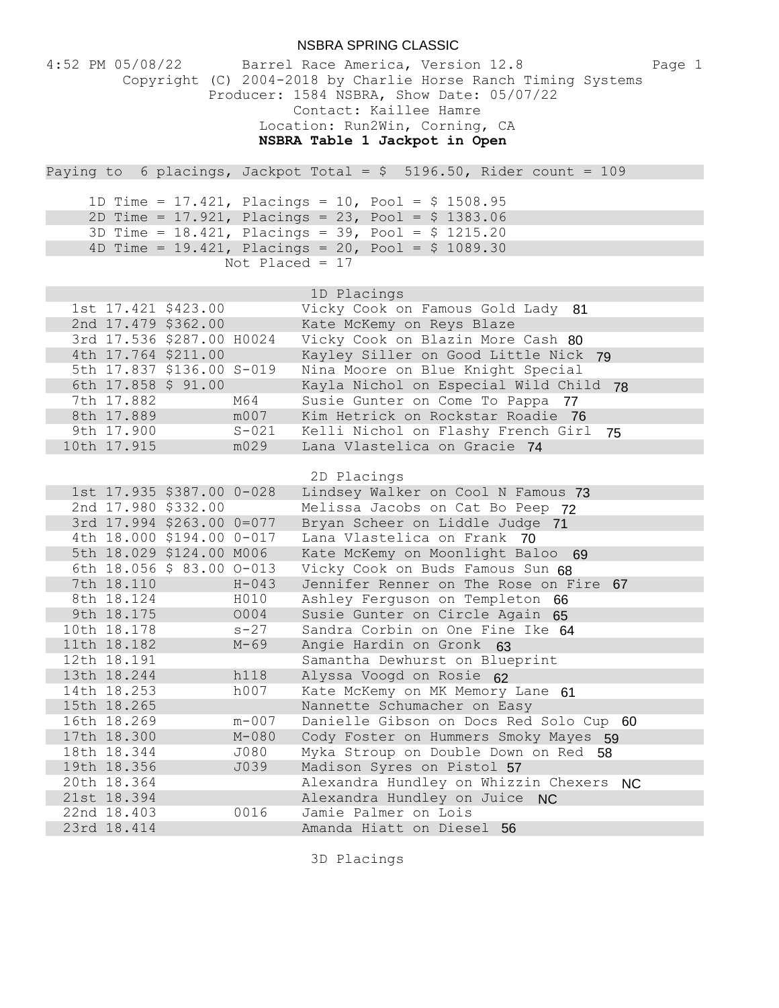| NSBRA SPRING CLASSIC              |             |                                                                                                                                                                                                                                                        |  |  |
|-----------------------------------|-------------|--------------------------------------------------------------------------------------------------------------------------------------------------------------------------------------------------------------------------------------------------------|--|--|
| $4:52$ PM $05/08/22$              |             | Barrel Race America, Version 12.8<br>Page 1<br>Copyright (C) 2004-2018 by Charlie Horse Ranch Timing Systems<br>Producer: 1584 NSBRA, Show Date: 05/07/22<br>Contact: Kaillee Hamre<br>Location: Run2Win, Corning, CA<br>NSBRA Table 1 Jackpot in Open |  |  |
|                                   |             | Paying to 6 placings, Jackpot Total = $$ 5196.50$ , Rider count = 109                                                                                                                                                                                  |  |  |
|                                   |             | 1D Time = 17.421, Placings = 10, Pool = $$ 1508.95$                                                                                                                                                                                                    |  |  |
|                                   |             | 2D Time = $17.921$ , Placings = $23$ , Pool = $$1383.06$                                                                                                                                                                                               |  |  |
|                                   |             | 3D Time = $18.421$ , Placings = $39$ , Pool = \$ 1215.20                                                                                                                                                                                               |  |  |
|                                   |             | 4D Time = $19.421$ , Placings = $20$ , Pool = \$ 1089.30                                                                                                                                                                                               |  |  |
| Not Placed = $17$                 |             |                                                                                                                                                                                                                                                        |  |  |
|                                   |             | 1D Placings                                                                                                                                                                                                                                            |  |  |
| 1st 17.421 \$423.00               |             | Vicky Cook on Famous Gold Lady 81                                                                                                                                                                                                                      |  |  |
| 2nd 17.479 \$362.00               |             | Kate McKemy on Reys Blaze                                                                                                                                                                                                                              |  |  |
| 3rd 17.536 \$287.00 H0024         |             | Vicky Cook on Blazin More Cash 80                                                                                                                                                                                                                      |  |  |
| 4th 17.764 \$211.00               |             | Kayley Siller on Good Little Nick 79                                                                                                                                                                                                                   |  |  |
| 5th 17.837 \$136.00 S-019         |             | Nina Moore on Blue Knight Special                                                                                                                                                                                                                      |  |  |
| 6th 17.858 \$ 91.00<br>7th 17.882 |             | Kayla Nichol on Especial Wild Child 78                                                                                                                                                                                                                 |  |  |
| 8th 17.889                        | M64<br>m007 | Susie Gunter on Come To Pappa 77<br>Kim Hetrick on Rockstar Roadie 76                                                                                                                                                                                  |  |  |
| 9th 17.900                        | $S - 021$   | Kelli Nichol on Flashy French Girl<br>75                                                                                                                                                                                                               |  |  |
| 10th 17.915                       | m029        | Lana Vlastelica on Gracie 74                                                                                                                                                                                                                           |  |  |
|                                   |             | 2D Placings                                                                                                                                                                                                                                            |  |  |
| 1st 17.935 \$387.00 0-028         |             | Lindsey Walker on Cool N Famous 73                                                                                                                                                                                                                     |  |  |
| 2nd 17.980 \$332.00               |             | Melissa Jacobs on Cat Bo Peep 72                                                                                                                                                                                                                       |  |  |
| 3rd 17.994 \$263.00 0=077         |             | Bryan Scheer on Liddle Judge 71                                                                                                                                                                                                                        |  |  |
| 4th 18.000 \$194.00 0-017         |             | Lana Vlastelica on Frank 70                                                                                                                                                                                                                            |  |  |
| 5th 18.029 \$124.00 M006          |             | Kate McKemy on Moonlight Baloo 69                                                                                                                                                                                                                      |  |  |
| 6th 18.056 \$ 83.00 0-013         |             | Vicky Cook on Buds Famous Sun 68                                                                                                                                                                                                                       |  |  |
| 7th 18.110                        | $H - 043$   | Jennifer Renner on The Rose on Fire 67                                                                                                                                                                                                                 |  |  |
| 8th 18.124                        | H010        | Ashley Ferguson on Templeton 66                                                                                                                                                                                                                        |  |  |
| 9th 18.175                        | 0004        | Susie Gunter on Circle Again 65                                                                                                                                                                                                                        |  |  |
| 10th 18.178                       | $s - 27$    | Sandra Corbin on One Fine Ike 64                                                                                                                                                                                                                       |  |  |
| 11th 18.182                       | $M - 69$    | Angie Hardin on Gronk 63                                                                                                                                                                                                                               |  |  |
| 12th 18.191                       |             | Samantha Dewhurst on Blueprint                                                                                                                                                                                                                         |  |  |
| 13th 18.244                       | h118        | Alyssa Voogd on Rosie 62                                                                                                                                                                                                                               |  |  |
| 14th 18.253<br>15th 18.265        | h007        | Kate McKemy on MK Memory Lane 61<br>Nannette Schumacher on Easy                                                                                                                                                                                        |  |  |
| 16th 18.269                       | $m - 007$   | Danielle Gibson on Docs Red Solo Cup 60                                                                                                                                                                                                                |  |  |
| 17th 18.300                       | $M - 080$   | Cody Foster on Hummers Smoky Mayes 59                                                                                                                                                                                                                  |  |  |
| 18th 18.344                       | J080        | Myka Stroup on Double Down on Red 58                                                                                                                                                                                                                   |  |  |
| 19th 18.356                       | J039        | Madison Syres on Pistol 57                                                                                                                                                                                                                             |  |  |
| 20th 18.364                       |             | Alexandra Hundley on Whizzin Chexers NC                                                                                                                                                                                                                |  |  |
| 21st 18.394                       |             | Alexandra Hundley on Juice NC                                                                                                                                                                                                                          |  |  |
| 22nd 18.403                       | 0016        | Jamie Palmer on Lois                                                                                                                                                                                                                                   |  |  |
| 23rd 18.414                       |             | Amanda Hiatt on Diesel 56                                                                                                                                                                                                                              |  |  |

3D Placings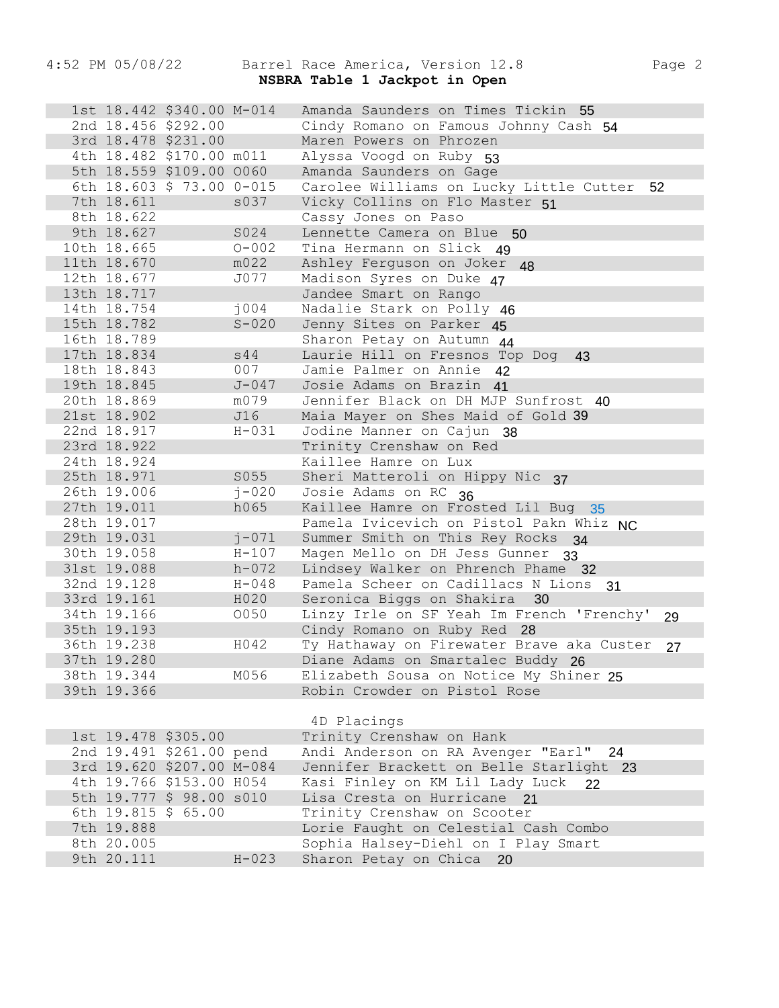## 4:52 PM 05/08/22 Barrel Race America, Version 12.8 Page 2 NSBRA Table 1 Jackpot in Open

| 1st 18.442 \$340.00 M-014 |           | Amanda Saunders on Times Tickin                                 |
|---------------------------|-----------|-----------------------------------------------------------------|
| 2nd 18.456 \$292.00       |           | Cindy Romano on Famous Johnny Cash 54                           |
| 3rd 18.478 \$231.00       |           | Maren Powers on Phrozen                                         |
| 4th 18.482 \$170.00 m011  |           | Alyssa Voogd on Ruby 53                                         |
| 5th 18.559 \$109.00 0060  |           | Amanda Saunders on Gage                                         |
| 6th 18.603 \$ 73.00 0-015 |           | Carolee Williams on Lucky Little Cutter 52                      |
| 7th 18.611                | s037      | Vicky Collins on Flo Master 51                                  |
| 8th 18.622                |           | Cassy Jones on Paso                                             |
| 9th 18.627                | S024      | Lennette Camera on Blue<br>50                                   |
| 10th 18.665               | $O - 002$ | Tina Hermann on Slick 49                                        |
| 11th 18.670               | m022      | Ashley Ferguson on Joker<br>48                                  |
| 12th 18.677               | J077      | Madison Syres on Duke 47                                        |
| 13th 18.717               |           | Jandee Smart on Rango                                           |
| 14th 18.754               | j004      | Nadalie Stark on Polly 46                                       |
| 15th 18.782               | $S - 020$ | Jenny Sites on Parker 45                                        |
| 16th 18.789               |           | Sharon Petay on Autumn 44                                       |
| 17th 18.834               | s44       | Laurie Hill on Fresnos Top Dog<br>43                            |
| 18th 18.843               | 007       | Jamie Palmer on Annie 42                                        |
| 19th 18.845               | $J - 047$ | Josie Adams on Brazin 41                                        |
| 20th 18.869               | m079      | Jennifer Black on DH MJP Sunfrost 40                            |
| 21st 18.902               | J16       | Maia Mayer on Shes Maid of Gold 39                              |
| 22nd 18.917               | $H - 031$ | Jodine Manner on Cajun 38                                       |
| 23rd 18.922               |           | Trinity Crenshaw on Red                                         |
| 24th 18.924               |           | Kaillee Hamre on Lux                                            |
| 25th 18.971               | S055      | Sheri Matteroli on Hippy Nic 37                                 |
| 26th 19.006               | $j - 020$ | Josie Adams on RC 36                                            |
| 27th 19.011               | h065      | Kaillee Hamre on Frosted Lil Bug 35                             |
| 28th 19.017               |           | Pamela Ivicevich on Pistol Pakn Whiz NC                         |
| 29th 19.031               | $j - 071$ | Summer Smith on This Rey Rocks 34                               |
| 30th 19.058               | $H - 107$ | Magen Mello on DH Jess Gunner 33                                |
| 31st 19.088               | $h - 072$ | Lindsey Walker on Phrench Phame 32                              |
| 32nd 19.128               | $H - 048$ | Pamela Scheer on Cadillacs N Lions<br>31                        |
| 33rd 19.161               | H020      | Seronica Biggs on Shakira<br>30                                 |
| 34th 19.166               | 0050      | Linzy Irle on SF Yeah Im French 'Frenchy'<br>29                 |
| 35th 19.193               |           | Cindy Romano on Ruby Red 28                                     |
| 36th 19.238               | H042      | Ty Hathaway on Firewater Brave aka Custer<br>27                 |
| 37th 19.280               |           | Diane Adams on Smartalec Buddy 26                               |
| 38th 19.344               | M056      | Elizabeth Sousa on Notice My Shiner 25                          |
| 39th 19.366               |           | Robin Crowder on Pistol Rose                                    |
|                           |           |                                                                 |
|                           |           |                                                                 |
|                           |           | 4D Placings                                                     |
| 1st 19.478 \$305.00       |           | Trinity Crenshaw on Hank                                        |
| 2nd 19.491 \$261.00 pend  |           | Andi Anderson on RA Avenger "Earl" 24                           |
| 3rd 19.620 \$207.00 M-084 |           | Jennifer Brackett on Belle Starlight 23                         |
| 4th 19.766 \$153.00 H054  |           | Kasi Finley on KM Lil Lady Luck<br>22                           |
| 5th 19.777 \$ 98.00 s010  |           | Lisa Cresta on Hurricane 21                                     |
| 6th 19.815 \$ 65.00       |           | Trinity Crenshaw on Scooter                                     |
| 7th 19.888                |           | Lorie Faught on Celestial Cash Combo                            |
| 8th 20.005<br>9th 20.111  | $H - 023$ | Sophia Halsey-Diehl on I Play Smart<br>Sharon Petay on Chica 20 |